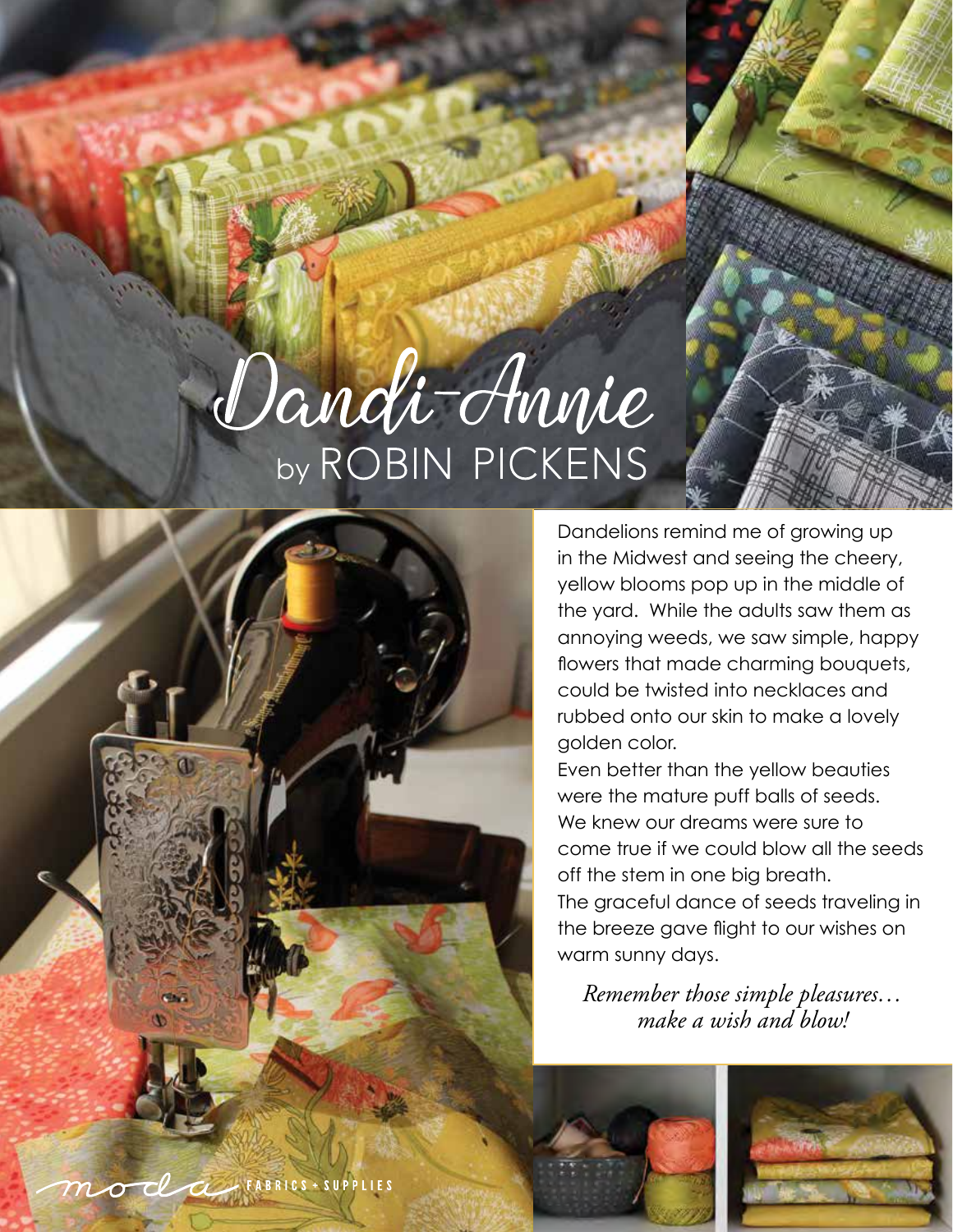## Dandi-Annie by ROBIN PICKENS



Dandelions remind me of growing up in the Midwest and seeing the cheery, yellow blooms pop up in the middle of the yard. While the adults saw them as annoying weeds, we saw simple, happy flowers that made charming bouquets, could be twisted into necklaces and rubbed onto our skin to make a lovely golden color.

Even better than the yellow beauties were the mature puff balls of seeds. We knew our dreams were sure to come true if we could blow all the seeds off the stem in one big breath. The graceful dance of seeds traveling in the breeze gave flight to our wishes on warm sunny days.

*Remember those simple pleasures… make a wish and blow!*



moda rabrics + SUPPLIES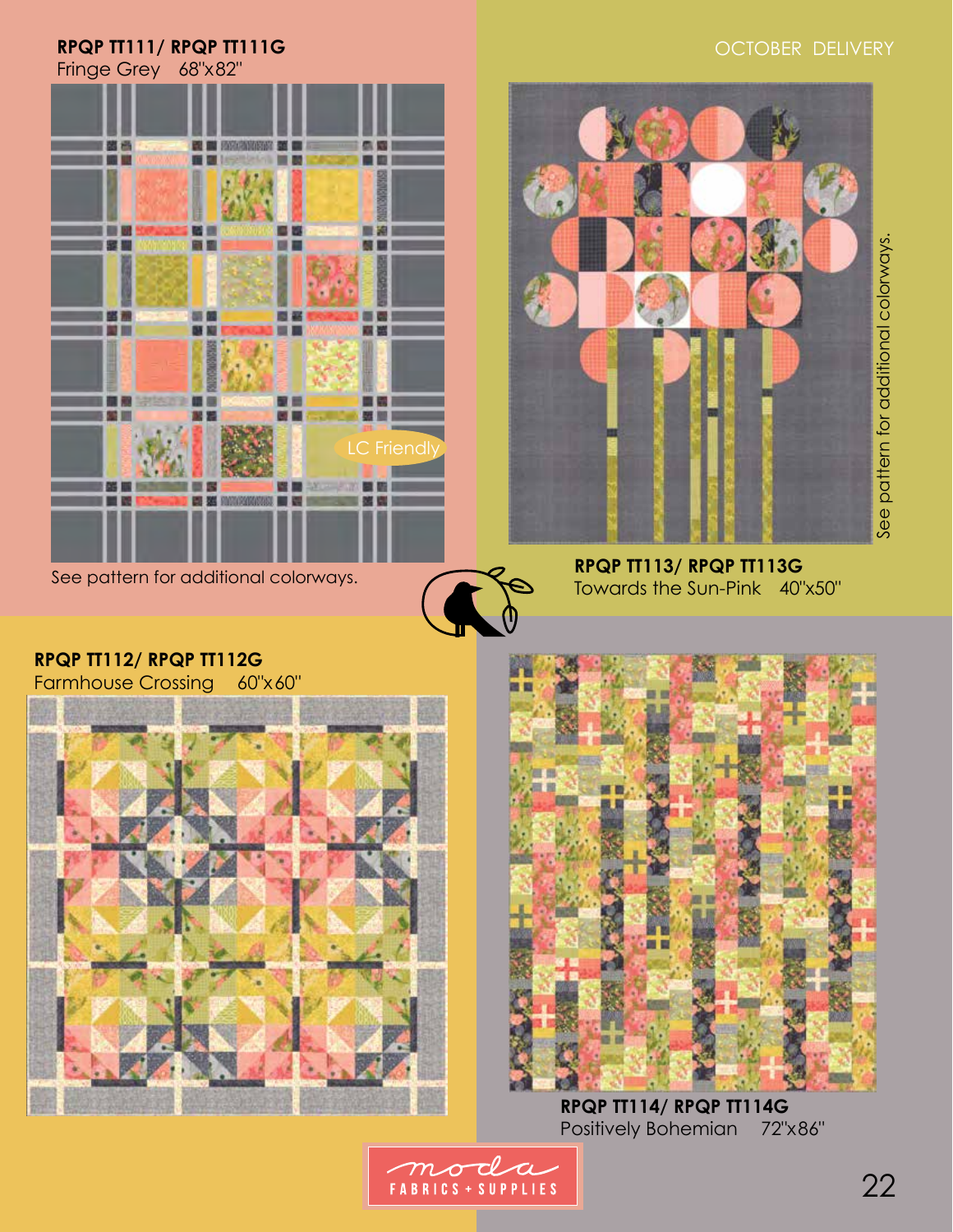## OCTOBER DELIVERY

## **RPQP TT111/ RPQP TT111G**

Fringe Grey 68"x82"



See pattern for additional colorways.





See pattern for additional colorways. See pattern for additional colorways.

## **RPQP TT113/ RPQP TT113G** Towards the Sun-Pink 40"x50"

**RPQP TT112/ RPQP TT112G** Farmhouse Crossing 60"x60"





**RPQP TT114/ RPQP TT114G** Positively Bohemian 72"x86"

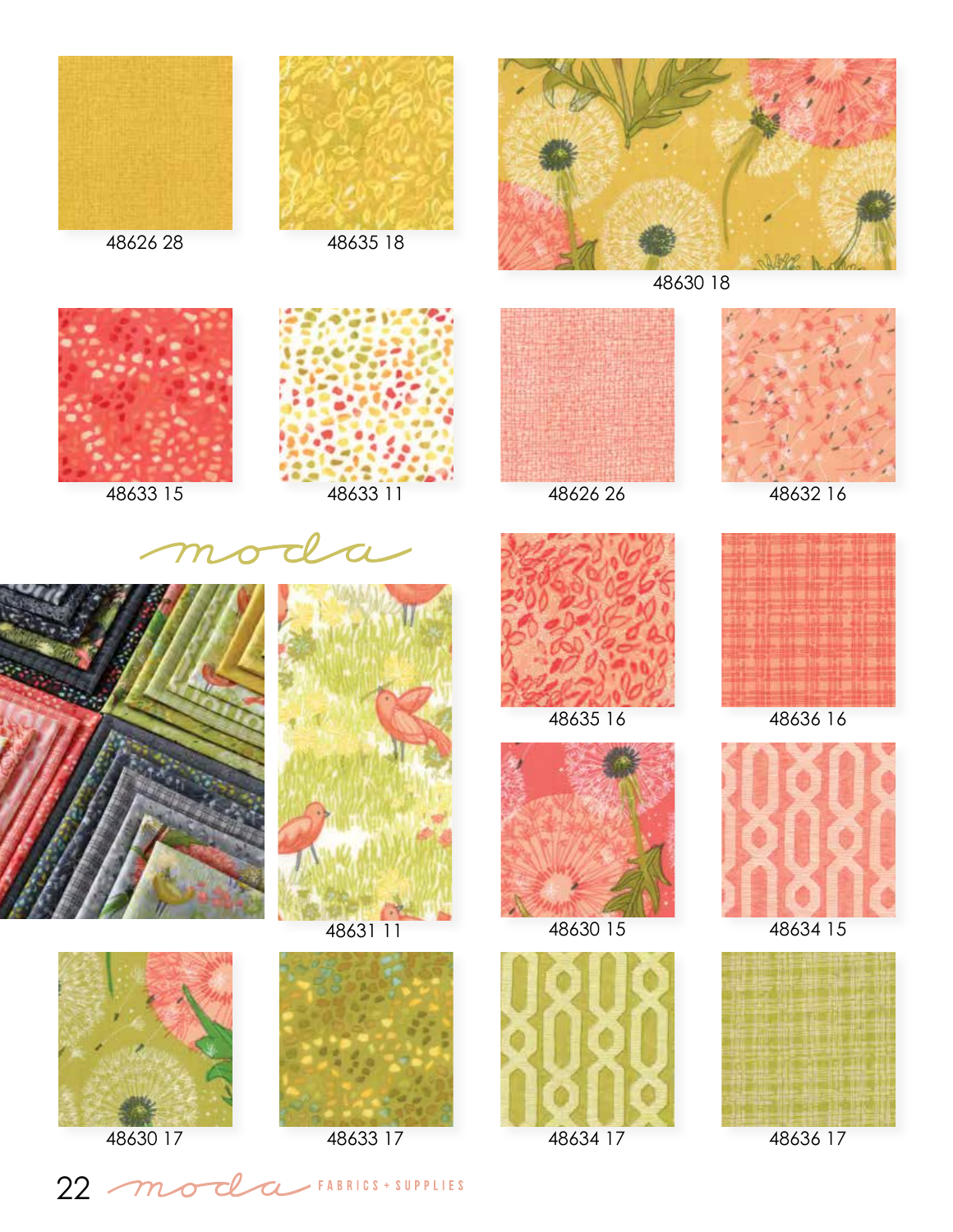





48630 18















48631 11





48635 16 48636 16





48630 17 48633 17 48634 17 48636 17





48630 15 48634 15